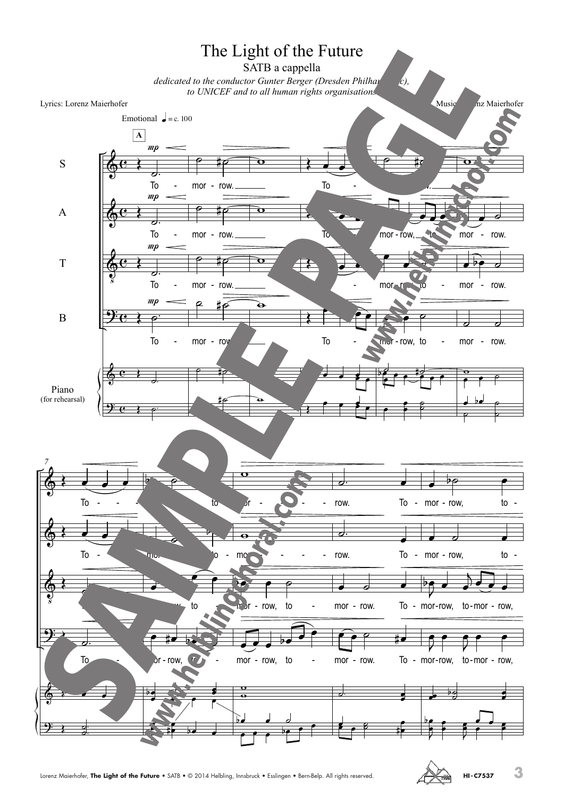

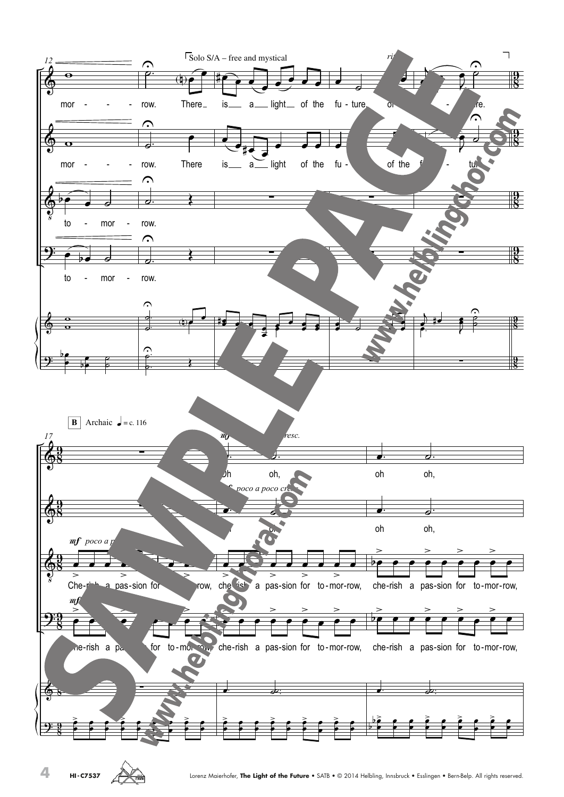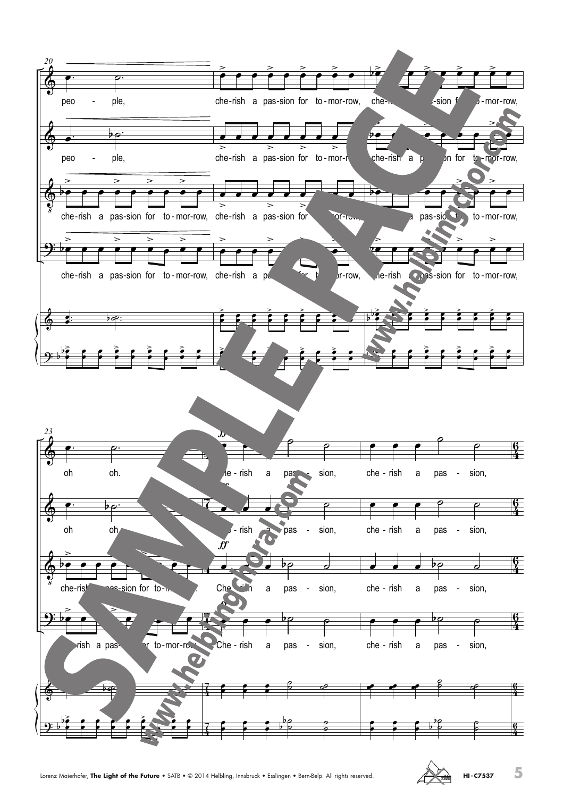

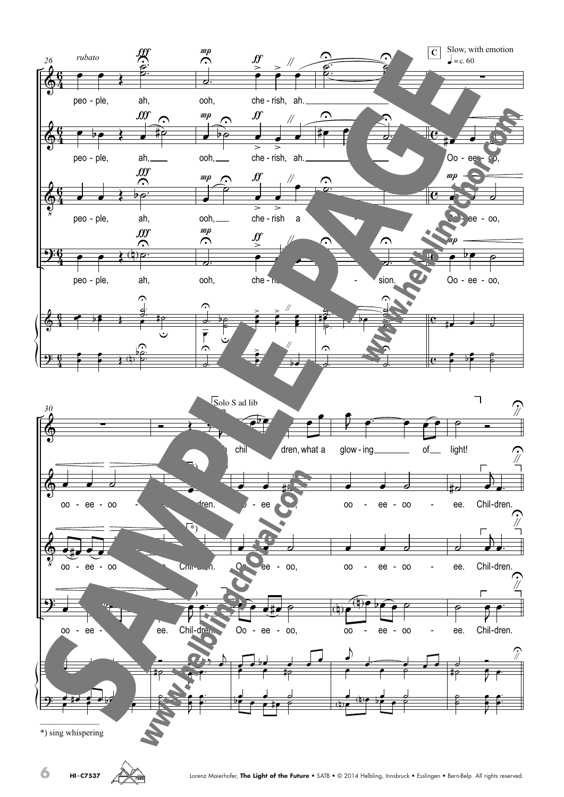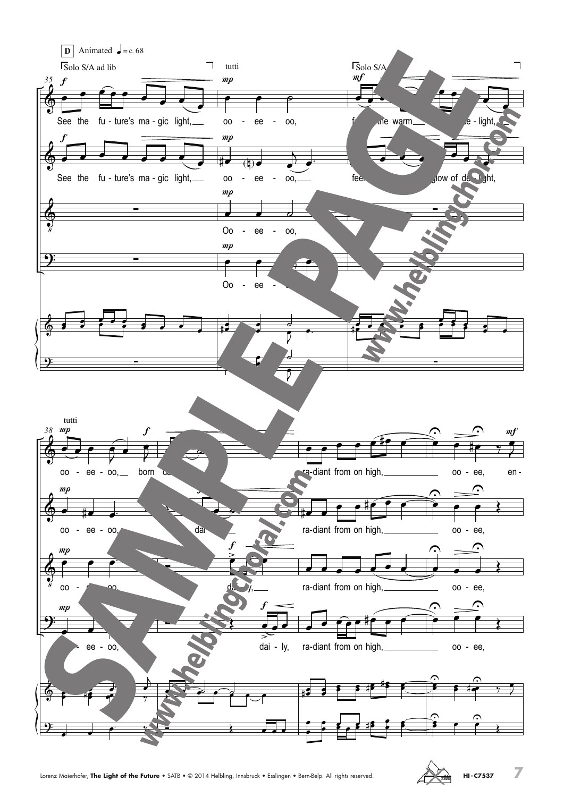

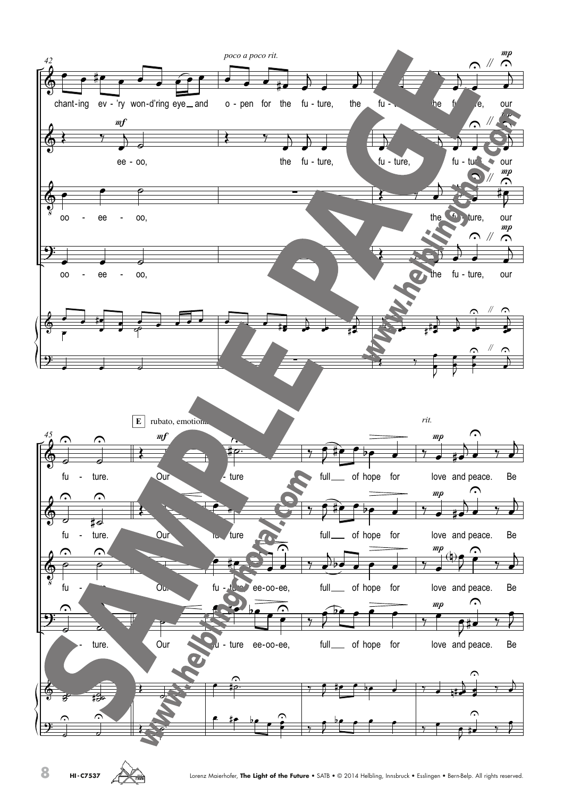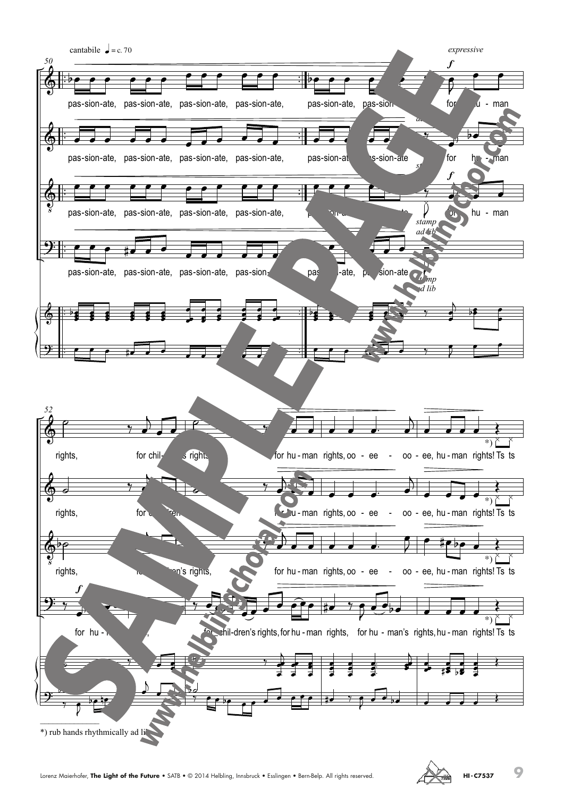

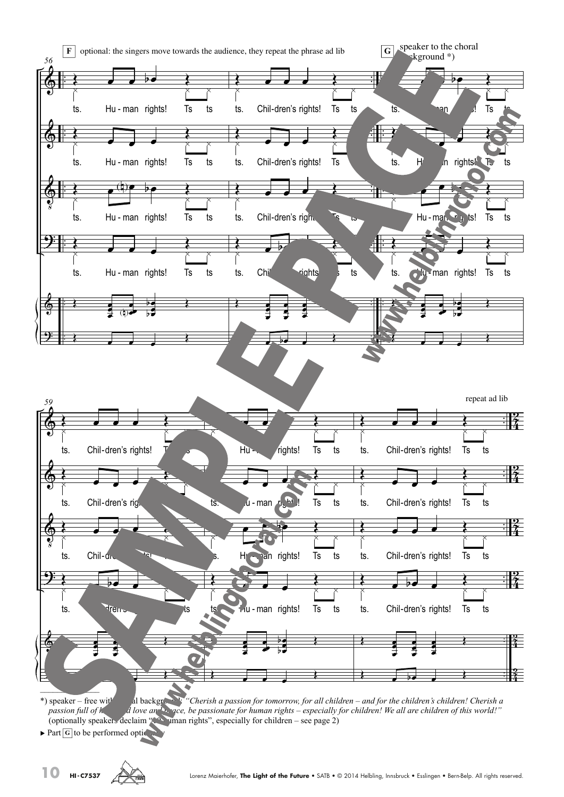

\*) speaker – free with children! Cherish a passion for tomorrow, for all children – and for the children's children! Cherish a passion full of hope and love and peace, be passionate for human rights – especially for children! We all are children of this world!" (optionally speakers declaim  $\mathcal{L}$ ,  $\mathcal{L}$  human rights", especially for children – see page 2)

 $\blacktriangleright$  Part  $|G|$  to be performed optic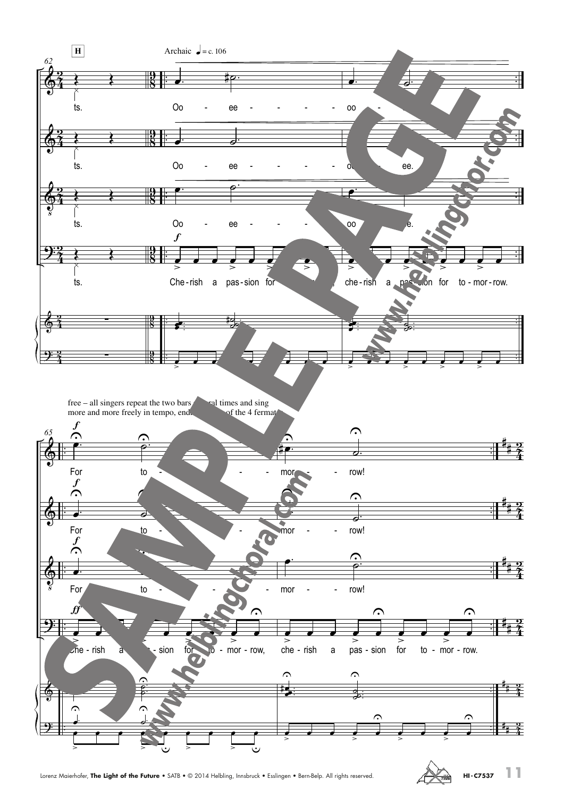

Lorenz Maierhofer, **The Light of the Future** • SATB • © 2014 Helbling, Innsbruck • Esslingen • Bern-Belp. All rights reserved. **HI- C7537 HI- C7537**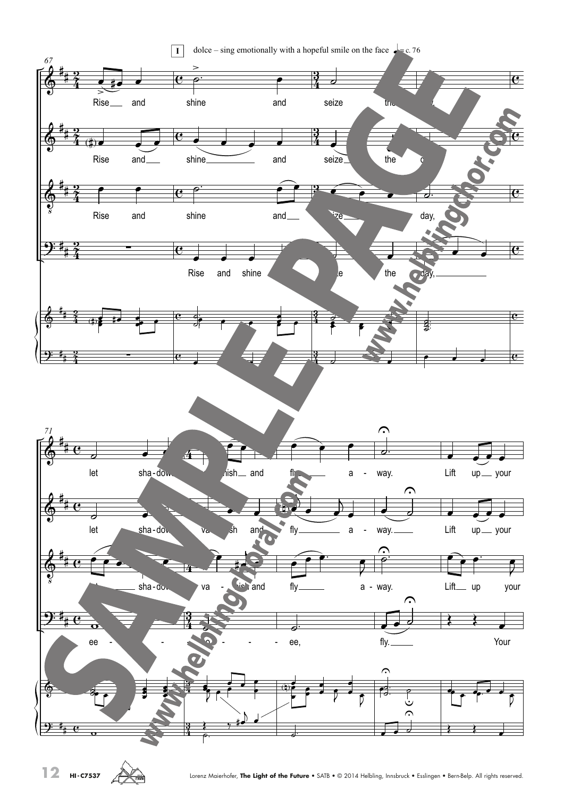

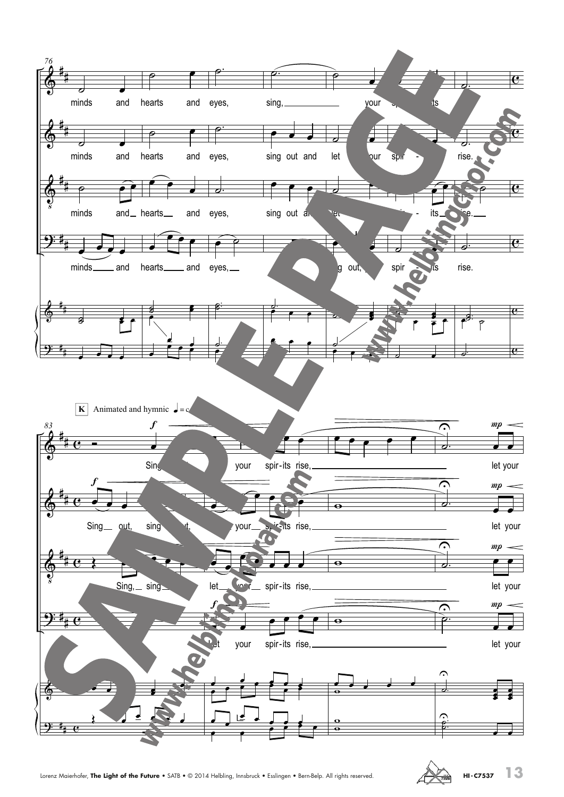

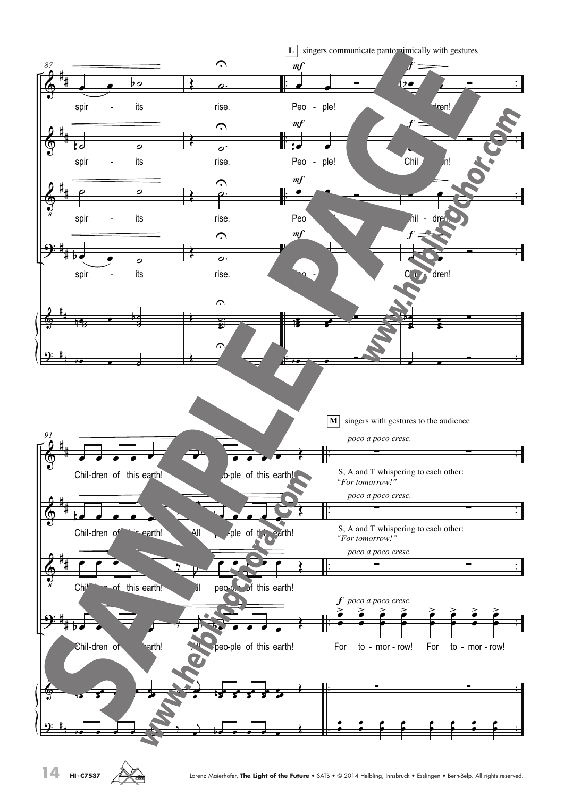